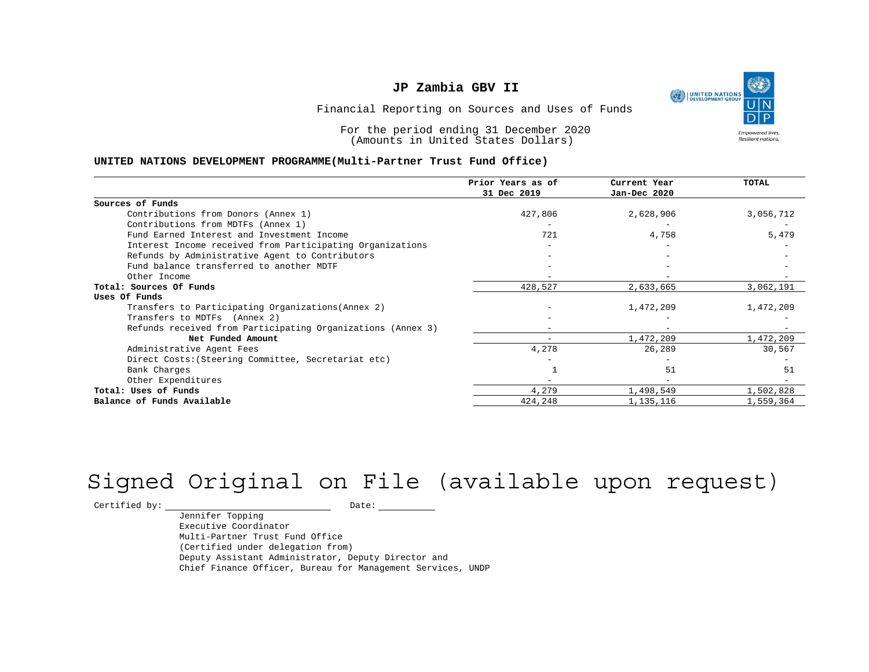

Financial Reporting on Sources and Uses of Funds

For the period ending 31 December 2020 (Amounts in United States Dollars)

#### **UNITED NATIONS DEVELOPMENT PROGRAMME(Multi-Partner Trust Fund Office)**

|                                                             | Prior Years as of<br>31 Dec 2019 | Current Year<br>Jan-Dec 2020 | <b>TOTAL</b> |
|-------------------------------------------------------------|----------------------------------|------------------------------|--------------|
| Sources of Funds                                            |                                  |                              |              |
| Contributions from Donors (Annex 1)                         | 427,806                          | 2,628,906                    | 3,056,712    |
| Contributions from MDTFs (Annex 1)                          |                                  |                              |              |
| Fund Earned Interest and Investment Income                  | 721                              | 4,758                        | 5,479        |
| Interest Income received from Participating Organizations   |                                  |                              |              |
| Refunds by Administrative Agent to Contributors             |                                  |                              |              |
| Fund balance transferred to another MDTF                    |                                  |                              |              |
| Other Income                                                |                                  |                              |              |
| Total: Sources Of Funds                                     | 428,527                          | 2,633,665                    | 3,062,191    |
| Uses Of Funds                                               |                                  |                              |              |
| Transfers to Participating Organizations (Annex 2)          |                                  | 1,472,209                    | 1,472,209    |
| Transfers to MDTFs (Annex 2)                                |                                  |                              |              |
| Refunds received from Participating Organizations (Annex 3) |                                  | $\overline{\phantom{0}}$     |              |
| Net Funded Amount                                           |                                  | 1,472,209                    | 1,472,209    |
| Administrative Agent Fees                                   | 4,278                            | 26,289                       | 30,567       |
| Direct Costs: (Steering Committee, Secretariat etc)         |                                  |                              |              |
| Bank Charges                                                |                                  | 51                           | 51           |
| Other Expenditures                                          |                                  |                              |              |
| Total: Uses of Funds                                        | 4,279                            | 1,498,549                    | 1,502,828    |
| Balance of Funds Available                                  | 424,248                          | 1,135,116                    | 1,559,364    |

# Signed Original on File (available upon request)

 $\begin{tabular}{ccccc} \multicolumn{2}{c|}{\textbf{Certified by:}\quad} & \multicolumn{2}{c|}{\textbf{Date:}\quad} \end{tabular}$ 

Jennifer Topping Executive Coordinator Multi-Partner Trust Fund Office (Certified under delegation from) Deputy Assistant Administrator, Deputy Director and Chief Finance Officer, Bureau for Management Services, UNDP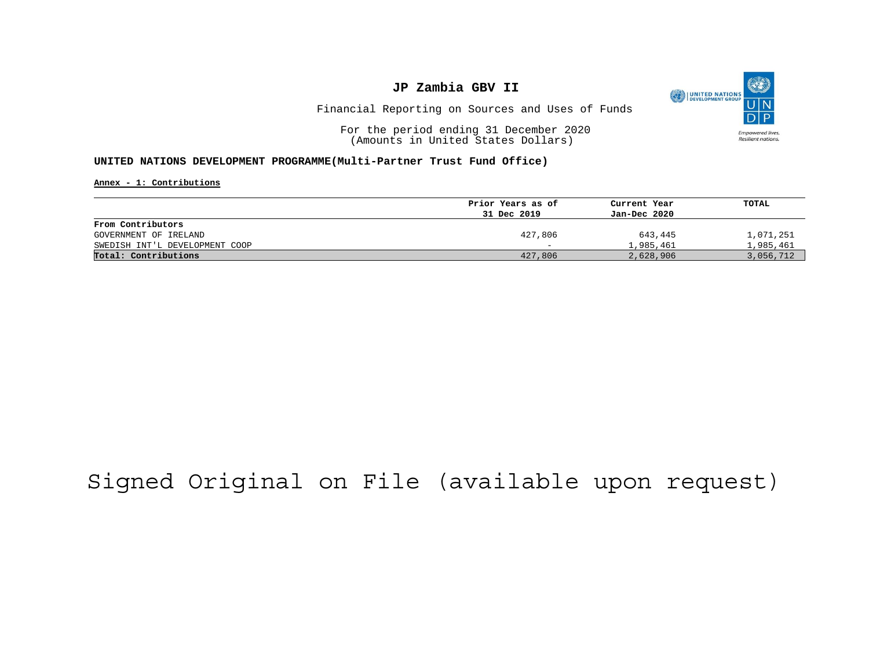

Financial Reporting on Sources and Uses of Funds

For the period ending 31 December 2020 (Amounts in United States Dollars)

#### **UNITED NATIONS DEVELOPMENT PROGRAMME(Multi-Partner Trust Fund Office)**

**Annex - 1: Contributions**

|                                | Prior Years as of        | Current Year | TOTAL     |
|--------------------------------|--------------------------|--------------|-----------|
|                                | 31 Dec 2019              | Jan-Dec 2020 |           |
| From Contributors              |                          |              |           |
| GOVERNMENT OF IRELAND          | 427,806                  | 643,445      | 1,071,251 |
| SWEDISH INT'L DEVELOPMENT COOP | $\overline{\phantom{0}}$ | 1,985,461    | 1,985,461 |
| Total: Contributions           | 427,806                  | 2,628,906    | 3,056,712 |

# Signed Original on File (available upon request)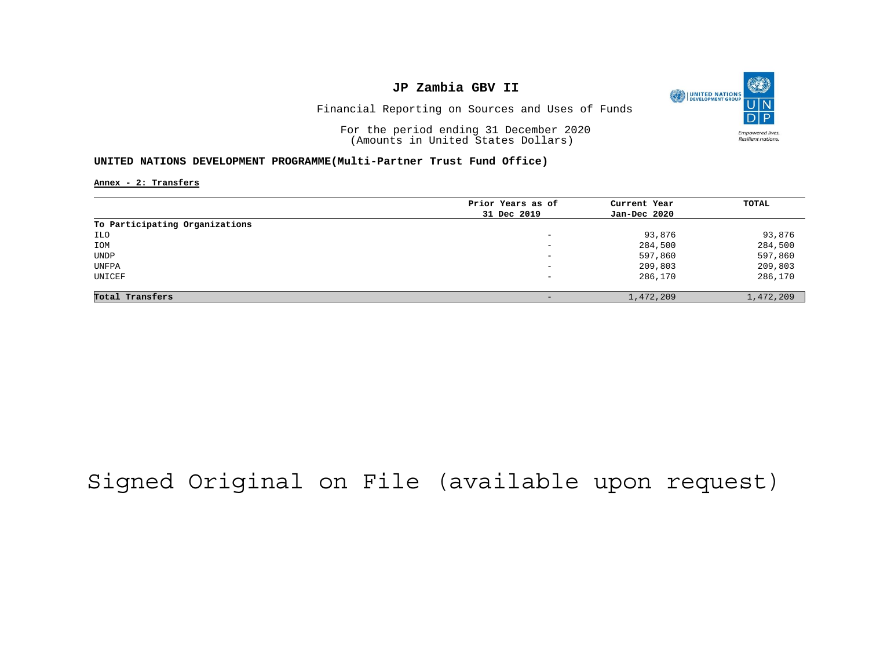

Financial Reporting on Sources and Uses of Funds

For the period ending 31 December 2020 (Amounts in United States Dollars)

#### **UNITED NATIONS DEVELOPMENT PROGRAMME(Multi-Partner Trust Fund Office)**

**Annex - 2: Transfers**

|                                | Prior Years as of            | Current Year | TOTAL     |
|--------------------------------|------------------------------|--------------|-----------|
|                                | 31 Dec 2019                  | Jan-Dec 2020 |           |
| To Participating Organizations |                              |              |           |
| ILO                            | $-$                          | 93,876       | 93,876    |
| IOM                            | -                            | 284,500      | 284,500   |
| UNDP                           | $\qquad \qquad \blacksquare$ | 597,860      | 597,860   |
| UNFPA                          | -                            | 209,803      | 209,803   |
| UNICEF                         | $\qquad \qquad \blacksquare$ | 286,170      | 286,170   |
| Total Transfers                | -                            | 1,472,209    | 1,472,209 |
|                                |                              |              |           |

# Signed Original on File (available upon request)